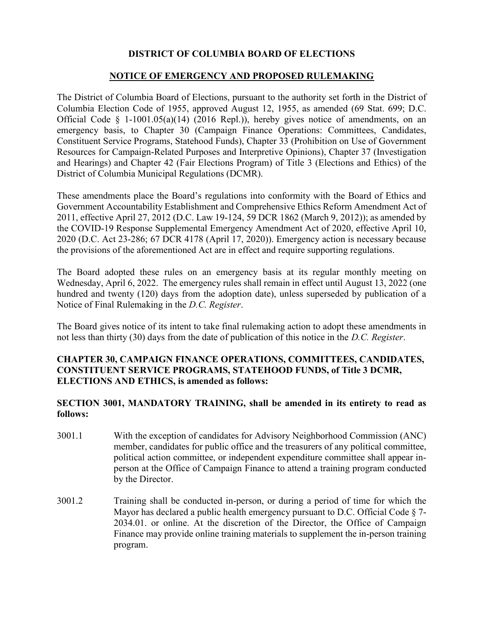# DISTRICT OF COLUMBIA BOARD OF ELECTIONS

#### NOTICE OF EMERGENCY AND PROPOSED RULEMAKING

The District of Columbia Board of Elections, pursuant to the authority set forth in the District of Columbia Election Code of 1955, approved August 12, 1955, as amended (69 Stat. 699; D.C. Official Code § 1-1001.05(a)(14) (2016 Repl.)), hereby gives notice of amendments, on an emergency basis, to Chapter 30 (Campaign Finance Operations: Committees, Candidates, Constituent Service Programs, Statehood Funds), Chapter 33 (Prohibition on Use of Government Resources for Campaign-Related Purposes and Interpretive Opinions), Chapter 37 (Investigation and Hearings) and Chapter 42 (Fair Elections Program) of Title 3 (Elections and Ethics) of the District of Columbia Municipal Regulations (DCMR).

These amendments place the Board's regulations into conformity with the Board of Ethics and Government Accountability Establishment and Comprehensive Ethics Reform Amendment Act of 2011, effective April 27, 2012 (D.C. Law 19-124, 59 DCR 1862 (March 9, 2012)); as amended by the COVID-19 Response Supplemental Emergency Amendment Act of 2020, effective April 10, 2020 (D.C. Act 23-286; 67 DCR 4178 (April 17, 2020)). Emergency action is necessary because the provisions of the aforementioned Act are in effect and require supporting regulations.

The Board adopted these rules on an emergency basis at its regular monthly meeting on Wednesday, April 6, 2022. The emergency rules shall remain in effect until August 13, 2022 (one hundred and twenty (120) days from the adoption date), unless superseded by publication of a Notice of Final Rulemaking in the D.C. Register.

The Board gives notice of its intent to take final rulemaking action to adopt these amendments in not less than thirty (30) days from the date of publication of this notice in the D.C. Register.

# CHAPTER 30, CAMPAIGN FINANCE OPERATIONS, COMMITTEES, CANDIDATES, CONSTITUENT SERVICE PROGRAMS, STATEHOOD FUNDS, of Title 3 DCMR, ELECTIONS AND ETHICS, is amended as follows:

## SECTION 3001, MANDATORY TRAINING, shall be amended in its entirety to read as follows:

- 3001.1 With the exception of candidates for Advisory Neighborhood Commission (ANC) member, candidates for public office and the treasurers of any political committee, political action committee, or independent expenditure committee shall appear inperson at the Office of Campaign Finance to attend a training program conducted by the Director.
- 3001.2 Training shall be conducted in-person, or during a period of time for which the Mayor has declared a public health emergency pursuant to D.C. Official Code  $\S$  7-2034.01. or online. At the discretion of the Director, the Office of Campaign Finance may provide online training materials to supplement the in-person training program.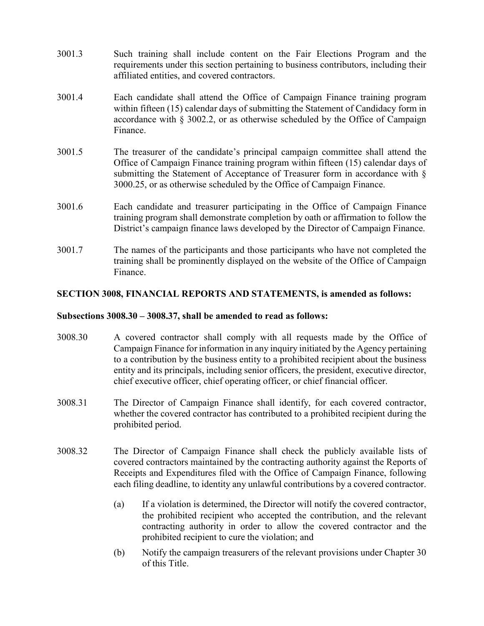- 3001.3 Such training shall include content on the Fair Elections Program and the requirements under this section pertaining to business contributors, including their affiliated entities, and covered contractors.
- 3001.4 Each candidate shall attend the Office of Campaign Finance training program within fifteen (15) calendar days of submitting the Statement of Candidacy form in accordance with § 3002.2, or as otherwise scheduled by the Office of Campaign Finance.
- 3001.5 The treasurer of the candidate's principal campaign committee shall attend the Office of Campaign Finance training program within fifteen (15) calendar days of submitting the Statement of Acceptance of Treasurer form in accordance with § 3000.25, or as otherwise scheduled by the Office of Campaign Finance.
- 3001.6 Each candidate and treasurer participating in the Office of Campaign Finance training program shall demonstrate completion by oath or affirmation to follow the District's campaign finance laws developed by the Director of Campaign Finance.
- 3001.7 The names of the participants and those participants who have not completed the training shall be prominently displayed on the website of the Office of Campaign Finance.

## SECTION 3008, FINANCIAL REPORTS AND STATEMENTS, is amended as follows:

#### Subsections 3008.30 – 3008.37, shall be amended to read as follows:

- 3008.30 A covered contractor shall comply with all requests made by the Office of Campaign Finance for information in any inquiry initiated by the Agency pertaining to a contribution by the business entity to a prohibited recipient about the business entity and its principals, including senior officers, the president, executive director, chief executive officer, chief operating officer, or chief financial officer.
- 3008.31 The Director of Campaign Finance shall identify, for each covered contractor, whether the covered contractor has contributed to a prohibited recipient during the prohibited period.
- 3008.32 The Director of Campaign Finance shall check the publicly available lists of covered contractors maintained by the contracting authority against the Reports of Receipts and Expenditures filed with the Office of Campaign Finance, following each filing deadline, to identity any unlawful contributions by a covered contractor.
	- (a) If a violation is determined, the Director will notify the covered contractor, the prohibited recipient who accepted the contribution, and the relevant contracting authority in order to allow the covered contractor and the prohibited recipient to cure the violation; and
	- (b) Notify the campaign treasurers of the relevant provisions under Chapter 30 of this Title.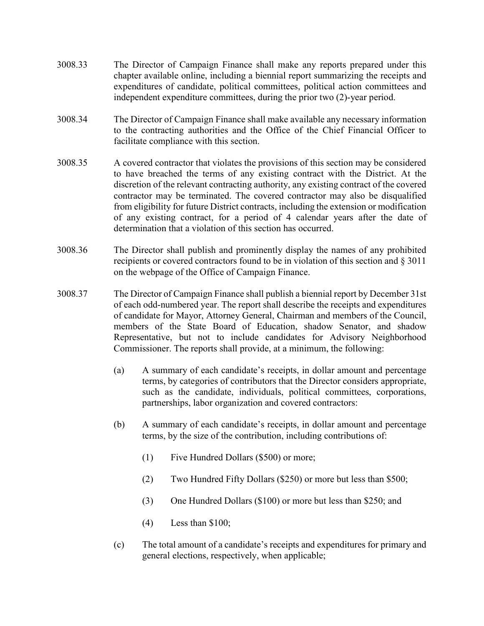- 3008.33 The Director of Campaign Finance shall make any reports prepared under this chapter available online, including a biennial report summarizing the receipts and expenditures of candidate, political committees, political action committees and independent expenditure committees, during the prior two (2)-year period.
- 3008.34 The Director of Campaign Finance shall make available any necessary information to the contracting authorities and the Office of the Chief Financial Officer to facilitate compliance with this section.
- 3008.35 A covered contractor that violates the provisions of this section may be considered to have breached the terms of any existing contract with the District. At the discretion of the relevant contracting authority, any existing contract of the covered contractor may be terminated. The covered contractor may also be disqualified from eligibility for future District contracts, including the extension or modification of any existing contract, for a period of 4 calendar years after the date of determination that a violation of this section has occurred.
- 3008.36 The Director shall publish and prominently display the names of any prohibited recipients or covered contractors found to be in violation of this section and § 3011 on the webpage of the Office of Campaign Finance.
- 3008.37 The Director of Campaign Finance shall publish a biennial report by December 31st of each odd-numbered year. The report shall describe the receipts and expenditures of candidate for Mayor, Attorney General, Chairman and members of the Council, members of the State Board of Education, shadow Senator, and shadow Representative, but not to include candidates for Advisory Neighborhood Commissioner. The reports shall provide, at a minimum, the following:
	- (a) A summary of each candidate's receipts, in dollar amount and percentage terms, by categories of contributors that the Director considers appropriate, such as the candidate, individuals, political committees, corporations, partnerships, labor organization and covered contractors:
	- (b) A summary of each candidate's receipts, in dollar amount and percentage terms, by the size of the contribution, including contributions of:
		- (1) Five Hundred Dollars (\$500) or more;
		- (2) Two Hundred Fifty Dollars (\$250) or more but less than \$500;
		- (3) One Hundred Dollars (\$100) or more but less than \$250; and
		- (4) Less than \$100;
	- (c) The total amount of a candidate's receipts and expenditures for primary and general elections, respectively, when applicable;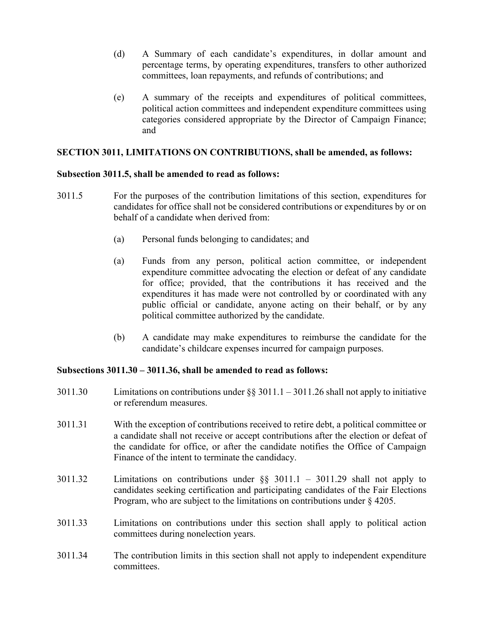- (d) A Summary of each candidate's expenditures, in dollar amount and percentage terms, by operating expenditures, transfers to other authorized committees, loan repayments, and refunds of contributions; and
- (e) A summary of the receipts and expenditures of political committees, political action committees and independent expenditure committees using categories considered appropriate by the Director of Campaign Finance; and

## SECTION 3011, LIMITATIONS ON CONTRIBUTIONS, shall be amended, as follows:

#### Subsection 3011.5, shall be amended to read as follows:

- 3011.5 For the purposes of the contribution limitations of this section, expenditures for candidates for office shall not be considered contributions or expenditures by or on behalf of a candidate when derived from:
	- (a) Personal funds belonging to candidates; and
	- (a) Funds from any person, political action committee, or independent expenditure committee advocating the election or defeat of any candidate for office; provided, that the contributions it has received and the expenditures it has made were not controlled by or coordinated with any public official or candidate, anyone acting on their behalf, or by any political committee authorized by the candidate.
	- (b) A candidate may make expenditures to reimburse the candidate for the candidate's childcare expenses incurred for campaign purposes.

#### Subsections 3011.30 – 3011.36, shall be amended to read as follows:

- 3011.30 Limitations on contributions under §§ 3011.1 3011.26 shall not apply to initiative or referendum measures.
- 3011.31 With the exception of contributions received to retire debt, a political committee or a candidate shall not receive or accept contributions after the election or defeat of the candidate for office, or after the candidate notifies the Office of Campaign Finance of the intent to terminate the candidacy.
- 3011.32 Limitations on contributions under §§ 3011.1 3011.29 shall not apply to candidates seeking certification and participating candidates of the Fair Elections Program, who are subject to the limitations on contributions under § 4205.
- 3011.33 Limitations on contributions under this section shall apply to political action committees during nonelection years.
- 3011.34 The contribution limits in this section shall not apply to independent expenditure committees.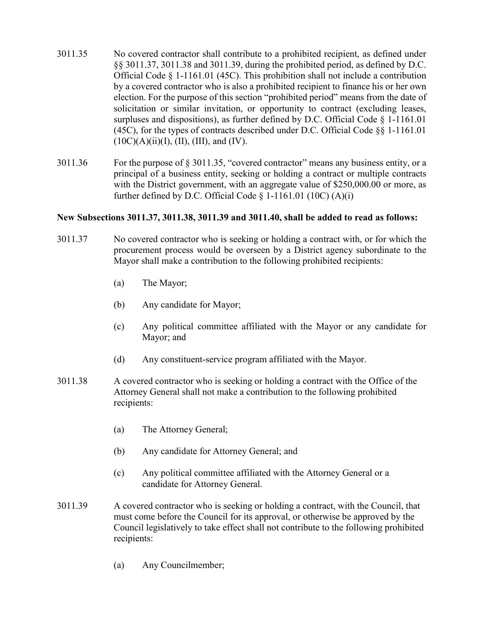- 3011.35 No covered contractor shall contribute to a prohibited recipient, as defined under §§ 3011.37, 3011.38 and 3011.39, during the prohibited period, as defined by D.C. Official Code § 1-1161.01 (45C). This prohibition shall not include a contribution by a covered contractor who is also a prohibited recipient to finance his or her own election. For the purpose of this section "prohibited period" means from the date of solicitation or similar invitation, or opportunity to contract (excluding leases, surpluses and dispositions), as further defined by D.C. Official Code § 1-1161.01 (45C), for the types of contracts described under D.C. Official Code §§ 1-1161.01  $(10C)(A)(ii)(I), (II), (III), and (IV).$
- 3011.36 For the purpose of § 3011.35, "covered contractor" means any business entity, or a principal of a business entity, seeking or holding a contract or multiple contracts with the District government, with an aggregate value of \$250,000.00 or more, as further defined by D.C. Official Code  $\S$  1-1161.01 (10C) (A)(i)

#### New Subsections 3011.37, 3011.38, 3011.39 and 3011.40, shall be added to read as follows:

- 3011.37 No covered contractor who is seeking or holding a contract with, or for which the procurement process would be overseen by a District agency subordinate to the Mayor shall make a contribution to the following prohibited recipients:
	- (a) The Mayor;
	- (b) Any candidate for Mayor;
	- (c) Any political committee affiliated with the Mayor or any candidate for Mayor; and
	- (d) Any constituent-service program affiliated with the Mayor.
- 3011.38 A covered contractor who is seeking or holding a contract with the Office of the Attorney General shall not make a contribution to the following prohibited recipients:
	- (a) The Attorney General;
	- (b) Any candidate for Attorney General; and
	- (c) Any political committee affiliated with the Attorney General or a candidate for Attorney General.
- 3011.39 A covered contractor who is seeking or holding a contract, with the Council, that must come before the Council for its approval, or otherwise be approved by the Council legislatively to take effect shall not contribute to the following prohibited recipients:
	- (a) Any Councilmember;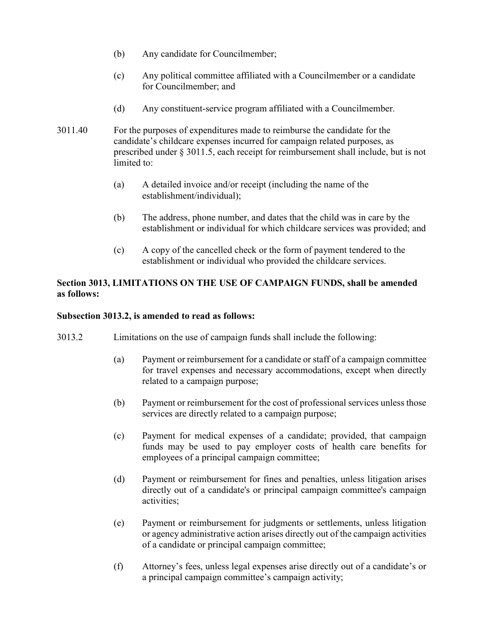- (b) Any candidate for Councilmember;
- (c) Any political committee affiliated with a Councilmember or a candidate for Councilmember; and
- (d) Any constituent-service program affiliated with a Councilmember.
- 3011.40 For the purposes of expenditures made to reimburse the candidate for the candidate's childcare expenses incurred for campaign related purposes, as prescribed under § 3011.5, each receipt for reimbursement shall include, but is not limited to:
	- (a) A detailed invoice and/or receipt (including the name of the establishment/individual);
	- (b) The address, phone number, and dates that the child was in care by the establishment or individual for which childcare services was provided; and
	- (c) A copy of the cancelled check or the form of payment tendered to the establishment or individual who provided the childcare services.

# Section 3013, LIMITATIONS ON THE USE OF CAMPAIGN FUNDS, shall be amended as follows:

# Subsection 3013.2, is amended to read as follows:

- 3013.2 Limitations on the use of campaign funds shall include the following:
	- (a) Payment or reimbursement for a candidate or staff of a campaign committee for travel expenses and necessary accommodations, except when directly related to a campaign purpose;
	- (b) Payment or reimbursement for the cost of professional services unless those services are directly related to a campaign purpose;
	- (c) Payment for medical expenses of a candidate; provided, that campaign funds may be used to pay employer costs of health care benefits for employees of a principal campaign committee;
	- (d) Payment or reimbursement for fines and penalties, unless litigation arises directly out of a candidate's or principal campaign committee's campaign activities;
	- (e) Payment or reimbursement for judgments or settlements, unless litigation or agency administrative action arises directly out of the campaign activities of a candidate or principal campaign committee;
	- (f) Attorney's fees, unless legal expenses arise directly out of a candidate's or a principal campaign committee's campaign activity;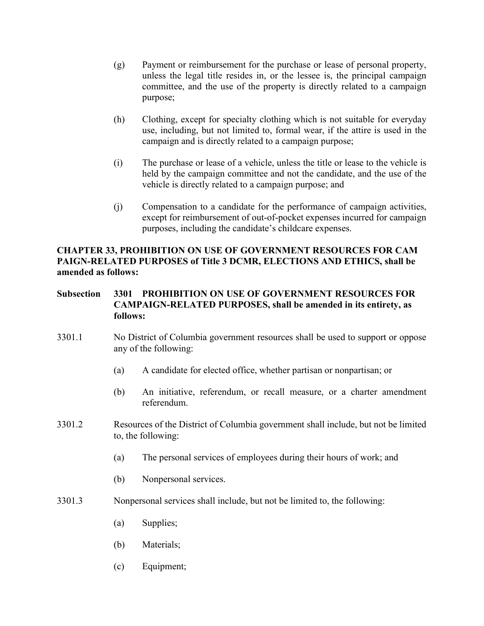- (g) Payment or reimbursement for the purchase or lease of personal property, unless the legal title resides in, or the lessee is, the principal campaign committee, and the use of the property is directly related to a campaign purpose;
- (h) Clothing, except for specialty clothing which is not suitable for everyday use, including, but not limited to, formal wear, if the attire is used in the campaign and is directly related to a campaign purpose;
- (i) The purchase or lease of a vehicle, unless the title or lease to the vehicle is held by the campaign committee and not the candidate, and the use of the vehicle is directly related to a campaign purpose; and
- (j) Compensation to a candidate for the performance of campaign activities, except for reimbursement of out-of-pocket expenses incurred for campaign purposes, including the candidate's childcare expenses.

# CHAPTER 33, PROHIBITION ON USE OF GOVERNMENT RESOURCES FOR CAM PAIGN-RELATED PURPOSES of Title 3 DCMR, ELECTIONS AND ETHICS, shall be amended as follows:

# Subsection 3301 PROHIBITION ON USE OF GOVERNMENT RESOURCES FOR CAMPAIGN-RELATED PURPOSES, shall be amended in its entirety, as follows:

- 3301.1 No District of Columbia government resources shall be used to support or oppose any of the following:
	- (a) A candidate for elected office, whether partisan or nonpartisan; or
	- (b) An initiative, referendum, or recall measure, or a charter amendment referendum.
- 3301.2 Resources of the District of Columbia government shall include, but not be limited to, the following:
	- (a) The personal services of employees during their hours of work; and
	- (b) Nonpersonal services.
- 3301.3 Nonpersonal services shall include, but not be limited to, the following:
	- (a) Supplies;
	- (b) Materials;
	- (c) Equipment;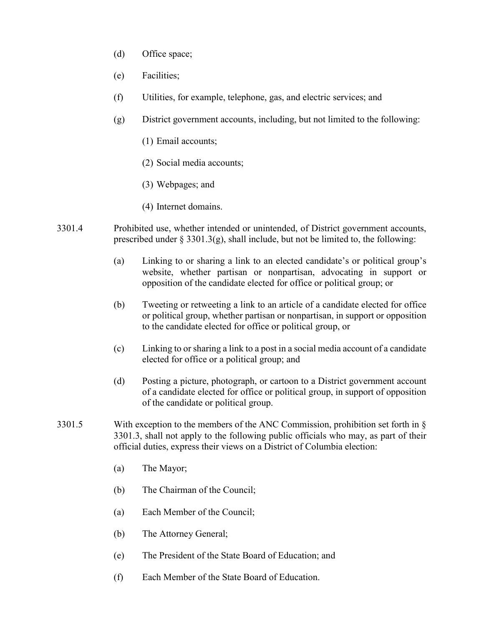- (d) Office space;
- (e) Facilities;
- (f) Utilities, for example, telephone, gas, and electric services; and
- (g) District government accounts, including, but not limited to the following:
	- (1) Email accounts;
	- (2) Social media accounts;
	- (3) Webpages; and
	- (4) Internet domains.
- 3301.4 Prohibited use, whether intended or unintended, of District government accounts, prescribed under  $\S 3301.3(g)$ , shall include, but not be limited to, the following:
	- (a) Linking to or sharing a link to an elected candidate's or political group's website, whether partisan or nonpartisan, advocating in support or opposition of the candidate elected for office or political group; or
	- (b) Tweeting or retweeting a link to an article of a candidate elected for office or political group, whether partisan or nonpartisan, in support or opposition to the candidate elected for office or political group, or
	- (c) Linking to or sharing a link to a post in a social media account of a candidate elected for office or a political group; and
	- (d) Posting a picture, photograph, or cartoon to a District government account of a candidate elected for office or political group, in support of opposition of the candidate or political group.
- 3301.5 With exception to the members of the ANC Commission, prohibition set forth in § 3301.3, shall not apply to the following public officials who may, as part of their official duties, express their views on a District of Columbia election:
	- (a) The Mayor;
	- (b) The Chairman of the Council;
	- (a) Each Member of the Council;
	- (b) The Attorney General;
	- (e) The President of the State Board of Education; and
	- (f) Each Member of the State Board of Education.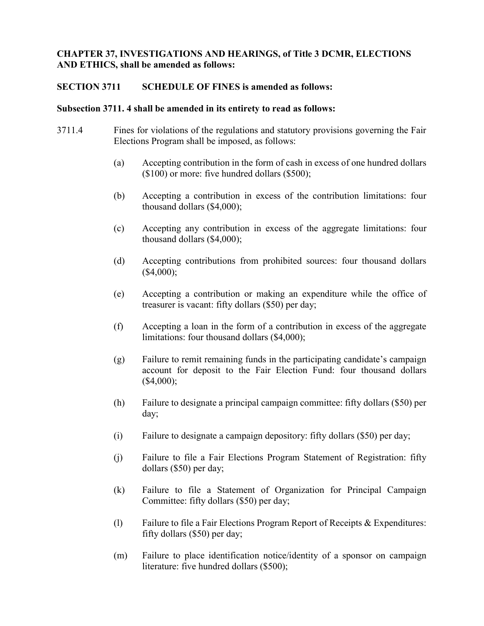# CHAPTER 37, INVESTIGATIONS AND HEARINGS, of Title 3 DCMR, ELECTIONS AND ETHICS, shall be amended as follows:

### SECTION 3711 SCHEDULE OF FINES is amended as follows:

#### Subsection 3711. 4 shall be amended in its entirety to read as follows:

- 3711.4 Fines for violations of the regulations and statutory provisions governing the Fair Elections Program shall be imposed, as follows:
	- (a) Accepting contribution in the form of cash in excess of one hundred dollars (\$100) or more: five hundred dollars (\$500);
	- (b) Accepting a contribution in excess of the contribution limitations: four thousand dollars (\$4,000);
	- (c) Accepting any contribution in excess of the aggregate limitations: four thousand dollars (\$4,000);
	- (d) Accepting contributions from prohibited sources: four thousand dollars (\$4,000);
	- (e) Accepting a contribution or making an expenditure while the office of treasurer is vacant: fifty dollars (\$50) per day;
	- (f) Accepting a loan in the form of a contribution in excess of the aggregate limitations: four thousand dollars (\$4,000);
	- (g) Failure to remit remaining funds in the participating candidate's campaign account for deposit to the Fair Election Fund: four thousand dollars (\$4,000);
	- (h) Failure to designate a principal campaign committee: fifty dollars (\$50) per day;
	- (i) Failure to designate a campaign depository: fifty dollars (\$50) per day;
	- (j) Failure to file a Fair Elections Program Statement of Registration: fifty dollars (\$50) per day;
	- (k) Failure to file a Statement of Organization for Principal Campaign Committee: fifty dollars (\$50) per day;
	- (l) Failure to file a Fair Elections Program Report of Receipts & Expenditures: fifty dollars (\$50) per day;
	- (m) Failure to place identification notice/identity of a sponsor on campaign literature: five hundred dollars (\$500);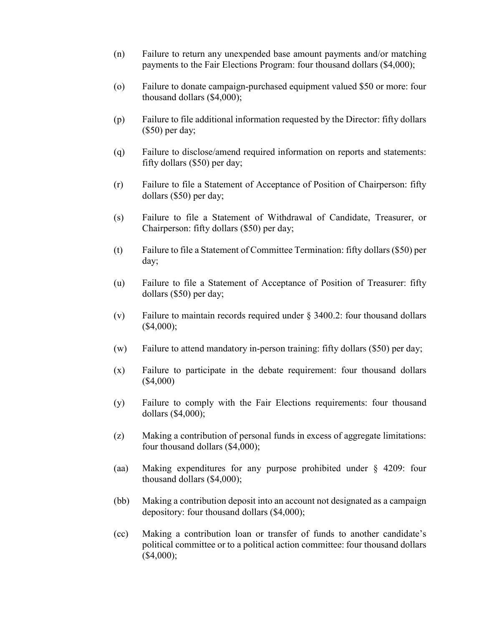- (n) Failure to return any unexpended base amount payments and/or matching payments to the Fair Elections Program: four thousand dollars (\$4,000);
- (o) Failure to donate campaign-purchased equipment valued \$50 or more: four thousand dollars (\$4,000);
- (p) Failure to file additional information requested by the Director: fifty dollars (\$50) per day;
- (q) Failure to disclose/amend required information on reports and statements: fifty dollars (\$50) per day;
- (r) Failure to file a Statement of Acceptance of Position of Chairperson: fifty dollars (\$50) per day;
- (s) Failure to file a Statement of Withdrawal of Candidate, Treasurer, or Chairperson: fifty dollars (\$50) per day;
- (t) Failure to file a Statement of Committee Termination: fifty dollars (\$50) per day;
- (u) Failure to file a Statement of Acceptance of Position of Treasurer: fifty dollars (\$50) per day;
- (v) Failure to maintain records required under § 3400.2: four thousand dollars (\$4,000);
- (w) Failure to attend mandatory in-person training: fifty dollars (\$50) per day;
- (x) Failure to participate in the debate requirement: four thousand dollars (\$4,000)
- (y) Failure to comply with the Fair Elections requirements: four thousand dollars (\$4,000);
- (z) Making a contribution of personal funds in excess of aggregate limitations: four thousand dollars (\$4,000);
- (aa) Making expenditures for any purpose prohibited under § 4209: four thousand dollars (\$4,000);
- (bb) Making a contribution deposit into an account not designated as a campaign depository: four thousand dollars (\$4,000);
- (cc) Making a contribution loan or transfer of funds to another candidate's political committee or to a political action committee: four thousand dollars (\$4,000);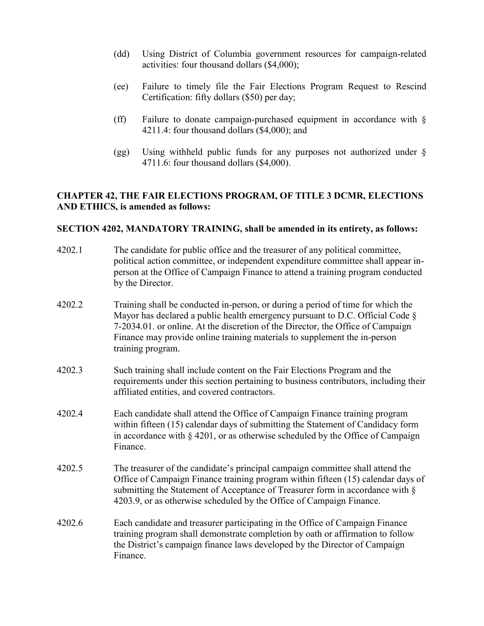- (dd) Using District of Columbia government resources for campaign-related activities: four thousand dollars (\$4,000);
- (ee) Failure to timely file the Fair Elections Program Request to Rescind Certification: fifty dollars (\$50) per day;
- (ff) Failure to donate campaign-purchased equipment in accordance with  $\S$ 4211.4: four thousand dollars (\$4,000); and
- (gg) Using withheld public funds for any purposes not authorized under § 4711.6: four thousand dollars (\$4,000).

# CHAPTER 42, THE FAIR ELECTIONS PROGRAM, OF TITLE 3 DCMR, ELECTIONS AND ETHICS, is amended as follows:

#### SECTION 4202, MANDATORY TRAINING, shall be amended in its entirety, as follows:

- 4202.1 The candidate for public office and the treasurer of any political committee, political action committee, or independent expenditure committee shall appear inperson at the Office of Campaign Finance to attend a training program conducted by the Director.
- 4202.2 Training shall be conducted in-person, or during a period of time for which the Mayor has declared a public health emergency pursuant to D.C. Official Code § 7-2034.01. or online. At the discretion of the Director, the Office of Campaign Finance may provide online training materials to supplement the in-person training program.
- 4202.3 Such training shall include content on the Fair Elections Program and the requirements under this section pertaining to business contributors, including their affiliated entities, and covered contractors.
- 4202.4 Each candidate shall attend the Office of Campaign Finance training program within fifteen (15) calendar days of submitting the Statement of Candidacy form in accordance with  $\S 4201$ , or as otherwise scheduled by the Office of Campaign Finance.
- 4202.5 The treasurer of the candidate's principal campaign committee shall attend the Office of Campaign Finance training program within fifteen (15) calendar days of submitting the Statement of Acceptance of Treasurer form in accordance with § 4203.9, or as otherwise scheduled by the Office of Campaign Finance.
- 4202.6 Each candidate and treasurer participating in the Office of Campaign Finance training program shall demonstrate completion by oath or affirmation to follow the District's campaign finance laws developed by the Director of Campaign Finance.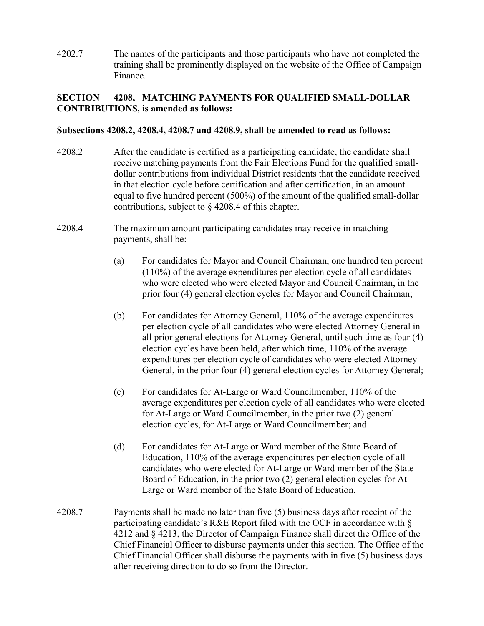4202.7 The names of the participants and those participants who have not completed the training shall be prominently displayed on the website of the Office of Campaign Finance.

# SECTION 4208, MATCHING PAYMENTS FOR QUALIFIED SMALL-DOLLAR CONTRIBUTIONS, is amended as follows:

#### Subsections 4208.2, 4208.4, 4208.7 and 4208.9, shall be amended to read as follows:

- 4208.2 After the candidate is certified as a participating candidate, the candidate shall receive matching payments from the Fair Elections Fund for the qualified smalldollar contributions from individual District residents that the candidate received in that election cycle before certification and after certification, in an amount equal to five hundred percent (500%) of the amount of the qualified small-dollar contributions, subject to § 4208.4 of this chapter.
- 4208.4 The maximum amount participating candidates may receive in matching payments, shall be:
	- (a) For candidates for Mayor and Council Chairman, one hundred ten percent (110%) of the average expenditures per election cycle of all candidates who were elected who were elected Mayor and Council Chairman, in the prior four (4) general election cycles for Mayor and Council Chairman;
	- (b) For candidates for Attorney General, 110% of the average expenditures per election cycle of all candidates who were elected Attorney General in all prior general elections for Attorney General, until such time as four (4) election cycles have been held, after which time, 110% of the average expenditures per election cycle of candidates who were elected Attorney General, in the prior four (4) general election cycles for Attorney General;
	- (c) For candidates for At-Large or Ward Councilmember, 110% of the average expenditures per election cycle of all candidates who were elected for At-Large or Ward Councilmember, in the prior two (2) general election cycles, for At-Large or Ward Councilmember; and
	- (d) For candidates for At-Large or Ward member of the State Board of Education, 110% of the average expenditures per election cycle of all candidates who were elected for At-Large or Ward member of the State Board of Education, in the prior two (2) general election cycles for At-Large or Ward member of the State Board of Education.
- 4208.7 Payments shall be made no later than five (5) business days after receipt of the participating candidate's R&E Report filed with the OCF in accordance with § 4212 and § 4213, the Director of Campaign Finance shall direct the Office of the Chief Financial Officer to disburse payments under this section. The Office of the Chief Financial Officer shall disburse the payments with in five (5) business days after receiving direction to do so from the Director.